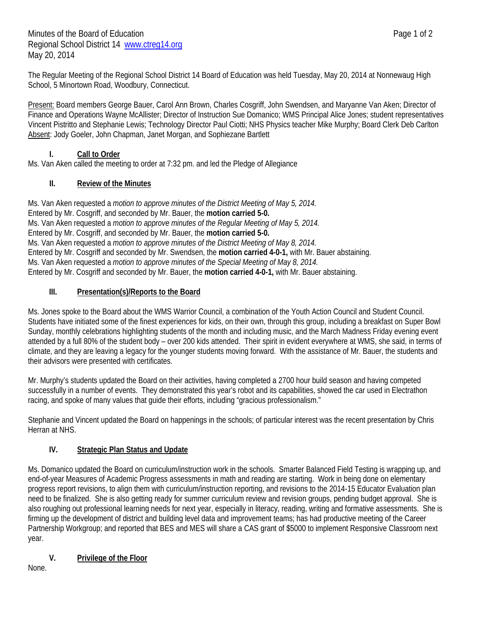The Regular Meeting of the Regional School District 14 Board of Education was held Tuesday, May 20, 2014 at Nonnewaug High School, 5 Minortown Road, Woodbury, Connecticut.

Present: Board members George Bauer, Carol Ann Brown, Charles Cosgriff, John Swendsen, and Maryanne Van Aken; Director of Finance and Operations Wayne McAllister; Director of Instruction Sue Domanico; WMS Principal Alice Jones; student representatives Vincent Pistritto and Stephanie Lewis; Technology Director Paul Ciotti; NHS Physics teacher Mike Murphy; Board Clerk Deb Carlton Absent: Jody Goeler, John Chapman, Janet Morgan, and Sophiezane Bartlett

### **I. Call to Order**

Ms. Van Aken called the meeting to order at 7:32 pm. and led the Pledge of Allegiance

# **II. Review of the Minutes**

Ms. Van Aken requested a *motion to approve minutes of the District Meeting of May 5, 2014.* Entered by Mr. Cosgriff, and seconded by Mr. Bauer, the **motion carried 5-0.**  Ms. Van Aken requested a *motion to approve minutes of the Regular Meeting of May 5, 2014.*  Entered by Mr. Cosgriff, and seconded by Mr. Bauer, the **motion carried 5-0.**  Ms. Van Aken requested a *motion to approve minutes of the District Meeting of May 8, 2014.*  Entered by Mr. Cosgriff and seconded by Mr. Swendsen, the **motion carried 4-0-1,** with Mr. Bauer abstaining. Ms. Van Aken requested a *motion to approve minutes of the Special Meeting of May 8, 2014.*  Entered by Mr. Cosgriff and seconded by Mr. Bauer, the **motion carried 4-0-1,** with Mr. Bauer abstaining.

# **III. Presentation(s)/Reports to the Board**

Ms. Jones spoke to the Board about the WMS Warrior Council, a combination of the Youth Action Council and Student Council. Students have initiated some of the finest experiences for kids, on their own, through this group, including a breakfast on Super Bowl Sunday, monthly celebrations highlighting students of the month and including music, and the March Madness Friday evening event attended by a full 80% of the student body – over 200 kids attended. Their spirit in evident everywhere at WMS, she said, in terms of climate, and they are leaving a legacy for the younger students moving forward. With the assistance of Mr. Bauer, the students and their advisors were presented with certificates.

Mr. Murphy's students updated the Board on their activities, having completed a 2700 hour build season and having competed successfully in a number of events. They demonstrated this year's robot and its capabilities, showed the car used in Electrathon racing, and spoke of many values that guide their efforts, including "gracious professionalism."

Stephanie and Vincent updated the Board on happenings in the schools; of particular interest was the recent presentation by Chris Herran at NHS.

# **IV. Strategic Plan Status and Update**

Ms. Domanico updated the Board on curriculum/instruction work in the schools. Smarter Balanced Field Testing is wrapping up, and end-of-year Measures of Academic Progress assessments in math and reading are starting. Work in being done on elementary progress report revisions, to align them with curriculum/instruction reporting, and revisions to the 2014-15 Educator Evaluation plan need to be finalized. She is also getting ready for summer curriculum review and revision groups, pending budget approval. She is also roughing out professional learning needs for next year, especially in literacy, reading, writing and formative assessments. She is firming up the development of district and building level data and improvement teams; has had productive meeting of the Career Partnership Workgroup; and reported that BES and MES will share a CAS grant of \$5000 to implement Responsive Classroom next year.

# **V. Privilege of the Floor**

None.